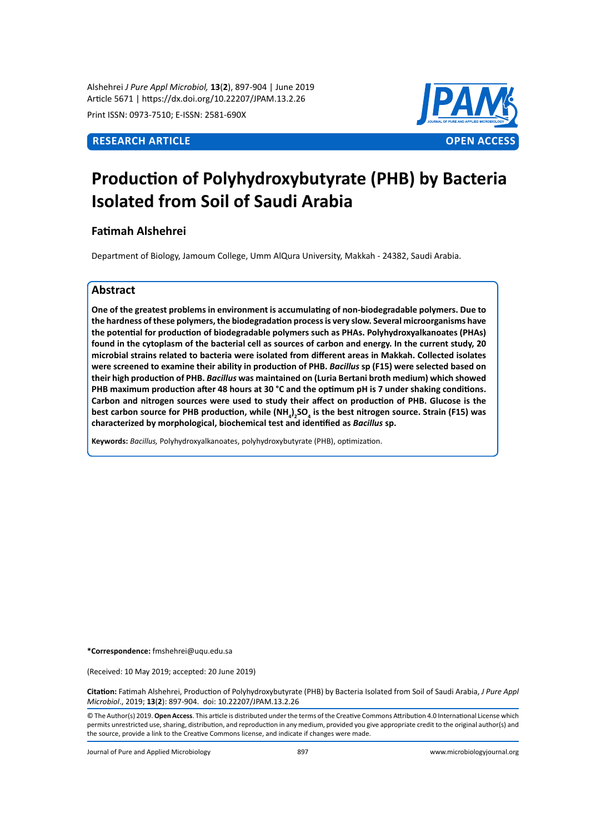Alshehrei *J Pure Appl Microbiol,* **13**(**2**), 897-904 | June 2019 Article 5671 | https://dx.doi.org/10.22207/JPAM.13.2.26

Print ISSN: 0973-7510; E-ISSN: 2581-690X



# **Production of Polyhydroxybutyrate (PHB) by Bacteria Isolated from Soil of Saudi Arabia**

# **Fatimah Alshehrei**

Department of Biology, Jamoum College, Umm AlQura University, Makkah - 24382, Saudi Arabia.

# **Abstract**

**One of the greatest problems in environment is accumulating of non-biodegradable polymers. Due to the hardness of these polymers, the biodegradation process is very slow. Several microorganisms have the potential for production of biodegradable polymers such as PHAs. Polyhydroxyalkanoates (PHAs) found in the cytoplasm of the bacterial cell as sources of carbon and energy. In the current study, 20 microbial strains related to bacteria were isolated from different areas in Makkah. Collected isolates were screened to examine their ability in production of PHB.** *Bacillus* **sp (F15) were selected based on their high production of PHB.** *Bacillus* **was maintained on (Luria Bertani broth medium) which showed PHB maximum production after 48 hours at 30 °C and the optimum pH is 7 under shaking conditions. Carbon and nitrogen sources were used to study their affect on production of PHB. Glucose is the**  best carbon source for PHB production, while (NH<sub>4</sub>)<sub>2</sub>SO<sub>4</sub> is the best nitrogen source. Strain (F15) was **characterized by morphological, biochemical test and identified as** *Bacillus* **sp.** 

**Keywords:** *Bacillus,* Polyhydroxyalkanoates, polyhydroxybutyrate (PHB), optimization.

**\*Correspondence:** fmshehrei@uqu.edu.sa

(Received: 10 May 2019; accepted: 20 June 2019)

**Citation:** Fatimah Alshehrei, Production of Polyhydroxybutyrate (PHB) by Bacteria Isolated from Soil of Saudi Arabia, *J Pure Appl Microbiol*., 2019; **13**(**2**): 897-904. doi: 10.22207/JPAM.13.2.26

© The Author(s) 2019. **Open Access**. This article is distributed under the terms of the Creative Commons Attribution 4.0 International License which permits unrestricted use, sharing, distribution, and reproduction in any medium, provided you give appropriate credit to the original author(s) and the source, provide a link to the Creative Commons license, and indicate if changes were made.

Journal of Pure and Applied Microbiology 897 www.microbiologyjournal.org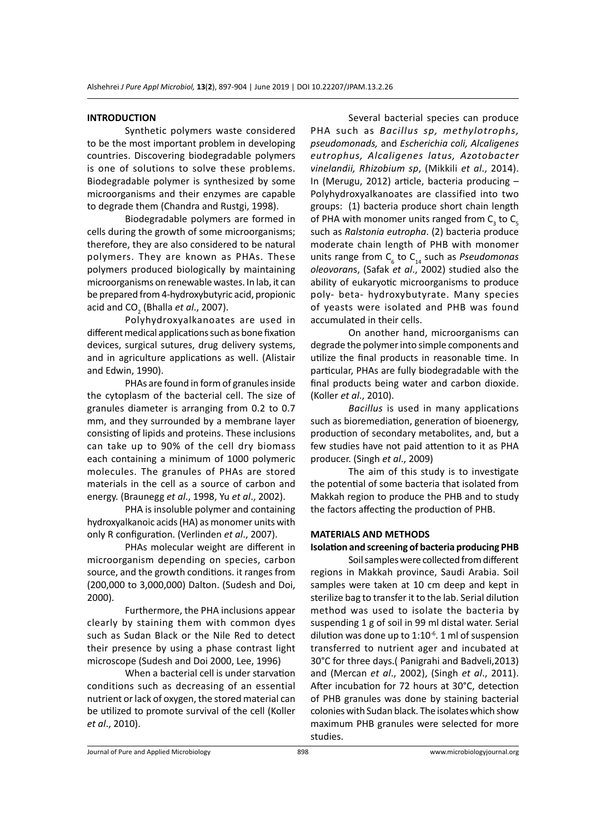#### **INTRODUCTION**

Synthetic polymers waste considered to be the most important problem in developing countries. Discovering biodegradable polymers is one of solutions to solve these problems. Biodegradable polymer is synthesized by some microorganisms and their enzymes are capable to degrade them (Chandra and Rustgi, 1998).

Biodegradable polymers are formed in cells during the growth of some microorganisms; therefore, they are also considered to be natural polymers. They are known as PHAs. These polymers produced biologically by maintaining microorganisms on renewable wastes. In lab, it can be prepared from 4-hydroxybutyric acid, propionic acid and CO<sub>2</sub> (Bhalla *et al.*, 2007).

Polyhydroxyalkanoates are used in different medical applications such as bone fixation devices, surgical sutures, drug delivery systems, and in agriculture applications as well. (Alistair and Edwin, 1990).

PHAs are found in form of granules inside the cytoplasm of the bacterial cell. The size of granules diameter is arranging from 0.2 to 0.7 mm, and they surrounded by a membrane layer consisting of lipids and proteins. These inclusions can take up to 90% of the cell dry biomass each containing a minimum of 1000 polymeric molecules. The granules of PHAs are stored materials in the cell as a source of carbon and energy. (Braunegg *et al*., 1998, Yu *et al*., 2002).

PHA is insoluble polymer and containing hydroxyalkanoic acids (HA) as monomer units with only R configuration. (Verlinden *et al*., 2007).

PHAs molecular weight are different in microorganism depending on species, carbon source, and the growth conditions. it ranges from (200,000 to 3,000,000) Dalton. (Sudesh and Doi, 2000).

Furthermore, the PHA inclusions appear clearly by staining them with common dyes such as Sudan Black or the Nile Red to detect their presence by using a phase contrast light microscope (Sudesh and Doi 2000, Lee, 1996)

When a bacterial cell is under starvation conditions such as decreasing of an essential nutrient or lack of oxygen, the stored material can be utilized to promote survival of the cell (Koller *et al*., 2010).

Several bacterial species can produce PHA such as *Bacillus sp, methylotrophs, pseudomonads,* and *Escherichia coli, Alcaligenes eutrophus, Alcaligenes latus, Azotobacter vinelandii, Rhizobium sp*, (Mikkili *et al*., 2014). In (Merugu, 2012) article, bacteria producing – Polyhydroxyalkanoates are classified into two groups: (1) bacteria produce short chain length of PHA with monomer units ranged from  $C_{3}$  to  $C_{5}$ such as *Ralstonia eutropha*. (2) bacteria produce moderate chain length of PHB with monomer units range from C<sub>6</sub> to C<sub>14</sub> such as *Pseudomonas oleovoran*s, (Safak *et al*., 2002) studied also the ability of eukaryotic microorganisms to produce poly- beta- hydroxybutyrate. Many species of yeasts were isolated and PHB was found accumulated in their cells.

On another hand, microorganisms can degrade the polymer into simple components and utilize the final products in reasonable time. In particular, PHAs are fully biodegradable with the final products being water and carbon dioxide. (Koller *et al*., 2010).

*Bacillus* is used in many applications such as bioremediation, generation of bioenergy, production of secondary metabolites, and, but a few studies have not paid attention to it as PHA producer. (Singh *et al*., 2009)

The aim of this study is to investigate the potential of some bacteria that isolated from Makkah region to produce the PHB and to study the factors affecting the production of PHB.

#### **MATERIALS AND METHODS**

#### **Isolation and screening of bacteria producing PHB**

Soil samples were collected from different regions in Makkah province, Saudi Arabia. Soil samples were taken at 10 cm deep and kept in sterilize bag to transfer it to the lab. Serial dilution method was used to isolate the bacteria by suspending 1 g of soil in 99 ml distal water. Serial dilution was done up to  $1:10^{-6}$ . 1 ml of suspension transferred to nutrient ager and incubated at 30°C for three days.( Panigrahi and Badveli,2013) and (Mercan *et al*., 2002), (Singh *et al*., 2011). After incubation for 72 hours at 30°C, detection of PHB granules was done by staining bacterial colonies with Sudan black. The isolates which show maximum PHB granules were selected for more studies.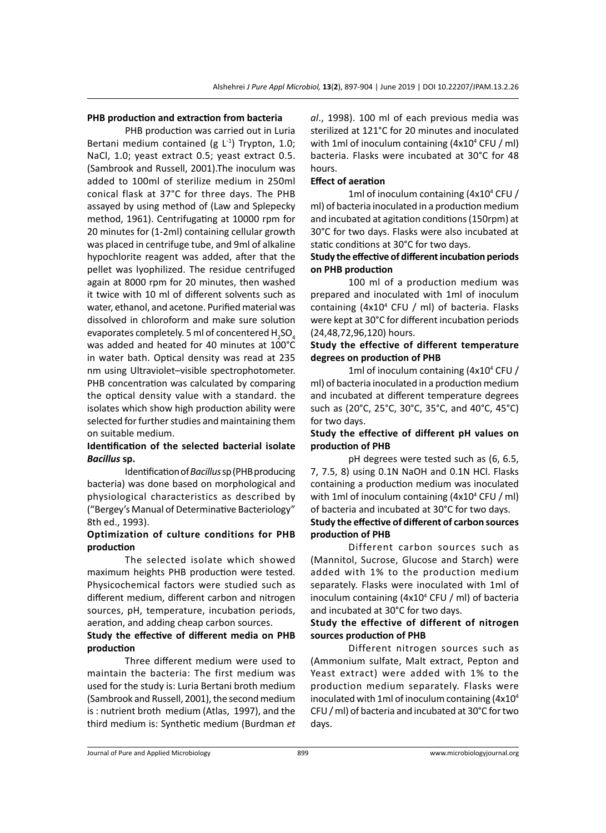#### **PHB production and extraction from bacteria**

PHB production was carried out in Luria Bertani medium contained (g  $L^{-1}$ ) Trypton, 1.0; NaCl, 1.0; yeast extract 0.5; yeast extract 0.5. (Sambrook and Russell, 2001).The inoculum was added to 100ml of sterilize medium in 250ml conical flask at 37°C for three days. The PHB assayed by using method of (Law and Splepecky method, 1961). Centrifugating at 10000 rpm for 20 minutes for (1-2ml) containing cellular growth was placed in centrifuge tube, and 9ml of alkaline hypochlorite reagent was added, after that the pellet was lyophilized. The residue centrifuged again at 8000 rpm for 20 minutes, then washed it twice with 10 ml of different solvents such as water, ethanol, and acetone. Purified material was dissolved in chloroform and make sure solution evaporates completely. 5 ml of concentered  $\mathsf{H}_2\mathsf{SO}_4$ was added and heated for 40 minutes at 100°C in water bath. Optical density was read at 235 nm using Ultraviolet–visible spectrophotometer. PHB concentration was calculated by comparing the optical density value with a standard. the isolates which show high production ability were selected for further studies and maintaining them on suitable medium.

## **Identification of the selected bacterial isolate**  *Bacillus* **sp.**

Identification of *Bacillus* sp (PHB producing bacteria) was done based on morphological and physiological characteristics as described by ("Bergey's Manual of Determinative Bacteriology" 8th ed., 1993).

## **Optimization of culture conditions for PHB production**

The selected isolate which showed maximum heights PHB production were tested. Physicochemical factors were studied such as different medium, different carbon and nitrogen sources, pH, temperature, incubation periods, aeration, and adding cheap carbon sources.

## **Study the effective of different media on PHB production**

Three different medium were used to maintain the bacteria: The first medium was used for the study is: Luria Bertani broth medium (Sambrook and Russell, 2001), the second medium is : nutrient broth medium (Atlas, 1997), and the third medium is: Synthetic medium (Burdman *et*  *al*., 1998). 100 ml of each previous media was sterilized at 121°C for 20 minutes and inoculated with 1ml of inoculum containing (4x10<sup>4</sup> CFU / ml) bacteria. Flasks were incubated at 30°C for 48 hours.

# **Effect of aeration**

1ml of inoculum containing (4x10<sup>4</sup> CFU / ml) of bacteria inoculated in a production medium and incubated at agitation conditions (150rpm) at 30°C for two days. Flasks were also incubated at static conditions at 30°C for two days.

#### **Study the effective of different incubation periods on PHB production**

100 ml of a production medium was prepared and inoculated with 1ml of inoculum containing (4x10<sup>4</sup> CFU / ml) of bacteria. Flasks were kept at 30°C for different incubation periods (24,48,72,96,120) hours.

## **Study the effective of different temperature degrees on production of PHB**

1ml of inoculum containing (4x10<sup>4</sup> CFU / ml) of bacteria inoculated in a production medium and incubated at different temperature degrees such as (20°C, 25°C, 30°C, 35°C, and 40°C, 45°C) for two days.

# **Study the effective of different pH values on production of PHB**

pH degrees were tested such as (6, 6.5, 7, 7.5, 8) using 0.1N NaOH and 0.1N HCl. Flasks containing a production medium was inoculated with 1ml of inoculum containing (4x10<sup>4</sup> CFU / ml) of bacteria and incubated at 30°C for two days.

#### **Study the effective of different of carbon sources production of PHB**

Different carbon sources such as (Mannitol, Sucrose, Glucose and Starch) were added with 1% to the production medium separately. Flasks were inoculated with 1ml of inoculum containing (4x10<sup>4</sup> CFU / ml) of bacteria and incubated at 30°C for two days.

### **Study the effective of different of nitrogen sources production of PHB**

Different nitrogen sources such as (Ammonium sulfate, Malt extract, Pepton and Yeast extract) were added with 1% to the production medium separately. Flasks were inoculated with 1ml of inoculum containing (4x10<sup>4</sup> CFU / ml) of bacteria and incubated at 30°C for two days.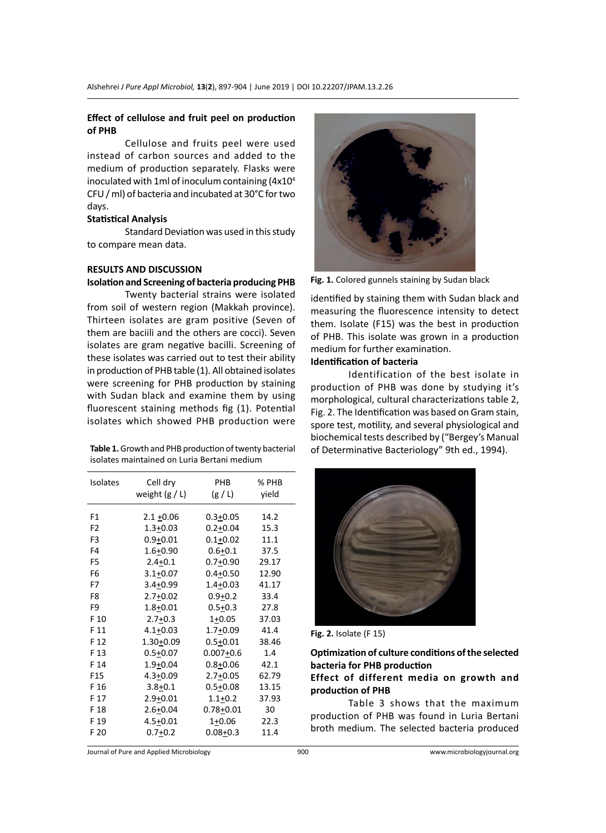#### **Effect of cellulose and fruit peel on production of PHB**

Cellulose and fruits peel were used instead of carbon sources and added to the medium of production separately. Flasks were inoculated with 1ml of inoculum containing  $(4x10<sup>4</sup>)$ CFU / ml) of bacteria and incubated at 30°C for two days.

# **Statistical Analysis**

Standard Deviation was used in this study to compare mean data.

#### **RESULTS AND DISCUSSION**

#### **Isolation and Screening of bacteria producing PHB**

Twenty bacterial strains were isolated from soil of western region (Makkah province). Thirteen isolates are gram positive (Seven of them are baciili and the others are cocci). Seven isolates are gram negative bacilli. Screening of these isolates was carried out to test their ability in production of PHB table (1). All obtained isolates were screening for PHB production by staining with Sudan black and examine them by using fluorescent staining methods fig (1). Potential isolates which showed PHB production were

| <b>Table 1.</b> Growth and PHB production of twenty bacterial |
|---------------------------------------------------------------|
| isolates maintained on Luria Bertani medium                   |

| <b>Isolates</b> | Cell dry<br>weight $(g / L)$ | <b>PHB</b><br>(g/L) | % PHB<br>yield |
|-----------------|------------------------------|---------------------|----------------|
| F1              | $2.1 + 0.06$                 | $0.3 + 0.05$        | 14.2           |
| F <sub>2</sub>  | $1.3 + 0.03$                 | $0.2 + 0.04$        | 15.3           |
| F <sub>3</sub>  | $0.9 + 0.01$                 | $0.1 + 0.02$        | 11.1           |
| F4              | $1.6 + 0.90$                 | $0.6 + 0.1$         | 37.5           |
| F <sub>5</sub>  | $2.4 + 0.1$                  | $0.7 + 0.90$        | 29.17          |
| F6              | $3.1 + 0.07$                 | $0.4 + 0.50$        | 12.90          |
| F7              | $3.4 + 0.99$                 | $1.4 + 0.03$        | 41.17          |
| F8              | $2.7 + 0.02$                 | $0.9 + 0.2$         | 33.4           |
| F9              | $1.8 + 0.01$                 | $0.5 + 0.3$         | 27.8           |
| F 10            | $2.7 + 0.3$                  | $1+0.05$            | 37.03          |
| F 11            | $4.1 + 0.03$                 | $1.7 + 0.09$        | 41.4           |
| F 12            | $1.30 + 0.09$                | $0.5 + 0.01$        | 38.46          |
| F 13            | $0.5 + 0.07$                 | $0.007 + 0.6$       | 1.4            |
| F 14            | $1.9 + 0.04$                 | $0.8 + 0.06$        | 42.1           |
| F15             | $4.3 + 0.09$                 | $2.7 + 0.05$        | 62.79          |
| F 16            | $3.8 + 0.1$                  | $0.5 + 0.08$        | 13.15          |
| F 17            | $2.9 + 0.01$                 | $1.1 + 0.2$         | 37.93          |
| F 18            | $2.6 + 0.04$                 | $0.78 + 0.01$       | 30             |
| F 19            | $4.5 + 0.01$                 | $1+0.06$            | 22.3           |
| F 20            | $0.7 + 0.2$                  | $0.08 + 0.3$        | 11.4           |



**Fig. 1.** Colored gunnels staining by Sudan black

identified by staining them with Sudan black and measuring the fluorescence intensity to detect them. Isolate (F15) was the best in production of PHB. This isolate was grown in a production medium for further examination.

# **Identification of bacteria**

Identification of the best isolate in production of PHB was done by studying it's morphological, cultural characterizations table 2, Fig. 2. The Identification was based on Gram stain, spore test, motility, and several physiological and biochemical tests described by ("Bergey's Manual of Determinative Bacteriology" 9th ed., 1994).



**Fig. 2.** Isolate (F 15)

**Optimization of culture conditions of the selected bacteria for PHB production**

## **Effect of different media on growth and production of PHB**

Table 3 shows that the maximum production of PHB was found in Luria Bertani broth medium. The selected bacteria produced

Journal of Pure and Applied Microbiology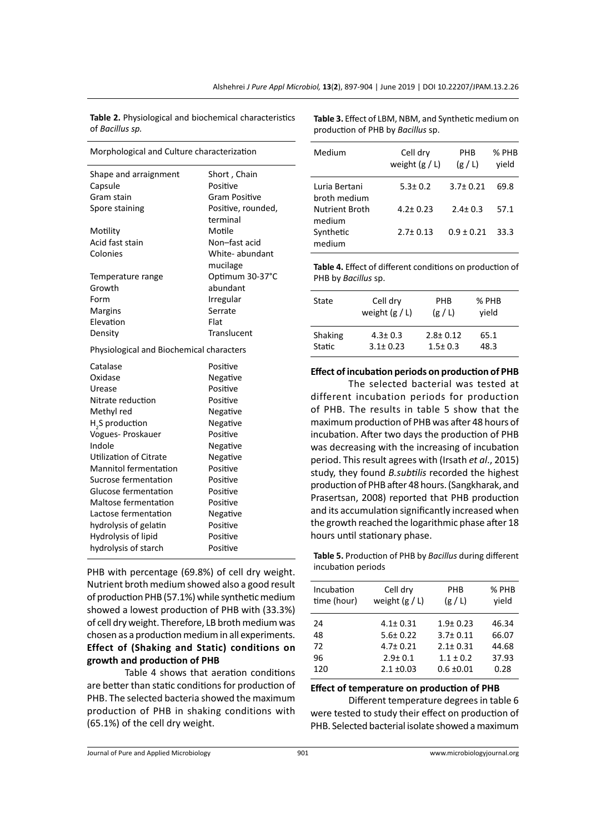**Table 2.** Physiological and biochemical characteristics of *Bacillus sp.*

Morphological and Culture characterization Shape and arraignment Short, Chain Capsule **Positive** Gram stain Gram Positive Spore staining **Positive, rounded**, terminal Motility Motile Acid fast stain Non-fast acid Colonies White- abundant mucilage Temperature range Optimum 30-37°C Growth abundant Form Irregular Margins Serrate Elevation Flat Density Translucent Physiological and Biochemical characters

| Catalase                     | Positive |
|------------------------------|----------|
| Oxidase                      | Negative |
| Urease                       | Positive |
| Nitrate reduction            | Positive |
| Methyl red                   | Negative |
| H <sub>3</sub> S production  | Negative |
| Vogues- Proskauer            | Positive |
| Indole                       | Negative |
| Utilization of Citrate       | Negative |
| <b>Mannitol fermentation</b> | Positive |
| Sucrose fermentation         | Positive |
| Glucose fermentation         | Positive |
| Maltose fermentation         | Positive |
| Lactose fermentation         | Negative |
| hydrolysis of gelatin        | Positive |
| Hydrolysis of lipid          | Positive |
| hydrolysis of starch         | Positive |

PHB with percentage (69.8%) of cell dry weight. Nutrient broth medium showed also a good result of production PHB (57.1%) while synthetic medium showed a lowest production of PHB with (33.3%) of cell dry weight. Therefore, LB broth medium was chosen as a production medium in all experiments. **Effect of (Shaking and Static) conditions on growth and production of PHB**

Table 4 shows that aeration conditions are better than static conditions for production of PHB. The selected bacteria showed the maximum production of PHB in shaking conditions with (65.1%) of the cell dry weight.

**Table 3.** Effect of LBM, NBM, and Synthetic medium on production of PHB by *Bacillus* sp.

| Medium                          | Cell dry<br>weight $(g / L)$ | PHB<br>(g/L)   | % PHB<br>vield |
|---------------------------------|------------------------------|----------------|----------------|
| Luria Bertani<br>broth medium   | $5.3 \pm 0.2$                | $3.7 \pm 0.21$ | 69.8           |
| <b>Nutrient Broth</b><br>medium | $4.2 \pm 0.23$               | $2.4 \pm 0.3$  | 57.1           |
| Synthetic<br>medium             | $2.7 \pm 0.13$               | $0.9 + 0.21$   | 33.3           |

**Table 4.** Effect of different conditions on production of PHB by *Bacillus* sp.

| State             | Cell dry<br>weight $(g / L)$    | <b>PHR</b><br>(g/L)             | % PHB<br>vield |  |
|-------------------|---------------------------------|---------------------------------|----------------|--|
| Shaking<br>Static | $4.3 \pm 0.3$<br>$3.1 \pm 0.23$ | $2.8 \pm 0.12$<br>$1.5 \pm 0.3$ | 65.1<br>48.3   |  |

**Effect of incubation periods on production of PHB**

The selected bacterial was tested at different incubation periods for production of PHB. The results in table 5 show that the maximum production of PHB was after 48 hours of incubation. After two days the production of PHB was decreasing with the increasing of incubation period. This result agrees with (Irsath *et al*., 2015) study, they found *B.subtilis* recorded the highest production of PHB after 48 hours. (Sangkharak, and Prasertsan, 2008) reported that PHB production and its accumulation significantly increased when the growth reached the logarithmic phase after 18 hours until stationary phase.

**Table 5.** Production of PHB by *Bacillus* during different incubation periods

| Incubation<br>time (hour) | Cell dry<br>weight $(g / L)$     | PHB<br>(g/L)                 | % PHB<br>vield |
|---------------------------|----------------------------------|------------------------------|----------------|
| 24<br>48                  | $4.1 \pm 0.31$<br>$5.6 \pm 0.22$ | $1.9 + 0.23$<br>$3.7 + 0.11$ | 46.34<br>66.07 |
| 72                        | $4.7 \pm 0.21$                   | $2.1 \pm 0.31$               | 44.68          |
| 96                        | $2.9 \pm 0.1$                    | $1.1 \pm 0.2$                | 37.93          |
| 120                       | $2.1 \pm 0.03$                   | $0.6 \pm 0.01$               | 0.28           |
|                           |                                  |                              |                |

#### **Effect of temperature on production of PHB**

Different temperature degrees in table 6 were tested to study their effect on production of PHB. Selected bacterial isolate showed a maximum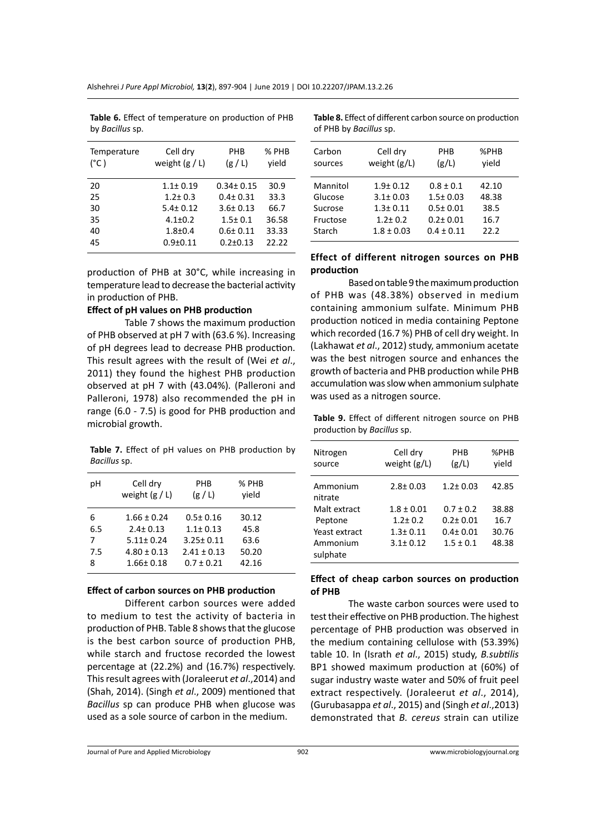| Temperature<br>$(^{\circ}C)$ | Cell dry<br>weight $(g / L)$ | PHB<br>(g/L)    | % PHB<br>vield |
|------------------------------|------------------------------|-----------------|----------------|
| 20                           | $1.1 \pm 0.19$               | $0.34 \pm 0.15$ | 30.9           |
| 25                           | $1.2 \pm 0.3$                | $0.4 \pm 0.31$  | 33.3           |
| 30                           | $5.4 \pm 0.12$               | $3.6 \pm 0.13$  | 66.7           |
| 35                           | $4.1 \pm 0.2$                | $1.5 \pm 0.1$   | 36.58          |
| 40                           | $1.8 + 0.4$                  | $0.6 + 0.11$    | 33.33          |
| 45                           | $0.9 + 0.11$                 | $0.2 \pm 0.13$  | 22.22          |

**Table 6.** Effect of temperature on production of PHB by *Bacillus* sp.

production of PHB at 30°C, while increasing in temperature lead to decrease the bacterial activity in production of PHB.

#### **Effect of pH values on PHB production**

Table 7 shows the maximum production of PHB observed at pH 7 with (63.6 %). Increasing of pH degrees lead to decrease PHB production. This result agrees with the result of (Wei *et al*., 2011) they found the highest PHB production observed at pH 7 with (43.04%)*.* (Palleroni and Palleroni, 1978) also recommended the pH in range (6.0 - 7.5) is good for PHB production and microbial growth.

**Table 7.** Effect of pH values on PHB production by *Bacillus* sp.

| рH  | Cell dry<br>weight $(g / L)$ | PHB<br>(g/L)    | % PHB<br>vield |  |
|-----|------------------------------|-----------------|----------------|--|
| 6   | $1.66 \pm 0.24$              | $0.5 \pm 0.16$  | 30.12          |  |
| 6.5 | $2.4 \pm 0.13$               | $1.1 \pm 0.13$  | 45.8           |  |
| 7   | $5.11 \pm 0.24$              | $3.25 \pm 0.11$ | 63.6           |  |
| 7.5 | $4.80 \pm 0.13$              | $2.41 \pm 0.13$ | 50.20          |  |
| 8   | $1.66 \pm 0.18$              | $0.7 \pm 0.21$  | 42.16          |  |
|     |                              |                 |                |  |

#### **Effect of carbon sources on PHB production**

Different carbon sources were added to medium to test the activity of bacteria in production of PHB. Table 8 shows that the glucose is the best carbon source of production PHB, while starch and fructose recorded the lowest percentage at (22.2%) and (16.7%) respectively. This result agrees with (Joraleerut *et al*.,2014) and (Shah, 2014). (Singh *et al*., 2009) mentioned that *Bacillus* sp can produce PHB when glucose was used as a sole source of carbon in the medium.

Carbon Cell dry PHB %PHB sources weight (g/L) (g/L) yield Mannitol 1.9± 0.12 0.8 ± 0.1 42.10 Glucose 3.1± 0.03 1.5± 0.03 48.38 Sucrose 1.3± 0.11 0.5± 0.01 38.5 Fructose 1.2± 0.2 0.2± 0.01 16.7 Starch 1.8 ± 0.03 0.4 ± 0.11 22.2

# **Table 8.** Effect of different carbon source on production of PHB by *Bacillus* sp.

# **Effect of different nitrogen sources on PHB production**

Based on table 9 the maximum production of PHB was (48.38%) observed in medium containing ammonium sulfate. Minimum PHB production noticed in media containing Peptone which recorded (16.7 %) PHB of cell dry weight. In (Lakhawat *et al*., 2012) study, ammonium acetate was the best nitrogen source and enhances the growth of bacteria and PHB production while PHB accumulation was slow when ammonium sulphate was used as a nitrogen source.

**Table 9.** Effect of different nitrogen source on PHB production by *Bacillus* sp.

| Nitrogen            | Cell dry       | PHR            | %PHB  |
|---------------------|----------------|----------------|-------|
| source              | weight $(g/L)$ | (g/L)          | vield |
| Ammonium<br>nitrate | $2.8 \pm 0.03$ | $1.2 \pm 0.03$ | 42.85 |
| Malt extract        | $1.8 \pm 0.01$ | $0.7 \pm 0.2$  | 38.88 |
| Peptone             | $1.2 \pm 0.2$  | $0.2 + 0.01$   | 16.7  |
| Yeast extract       | $1.3 + 0.11$   | $0.4 + 0.01$   | 30.76 |
| Ammonium            | $3.1 \pm 0.12$ | $1.5 \pm 0.1$  | 48.38 |
| sulphate            |                |                |       |

#### **Effect of cheap carbon sources on production of PHB**

The waste carbon sources were used to test their effective on PHB production. The highest percentage of PHB production was observed in the medium containing cellulose with (53.39%) table 10. In (Israth *et al*., 2015) study, *B.subtilis* BP1 showed maximum production at (60%) of sugar industry waste water and 50% of fruit peel extract respectively. (Joraleerut *et al*., 2014), (Gurubasappa *et al*., 2015) and (Singh *et al*.,2013) demonstrated that *B. cereus* strain can utilize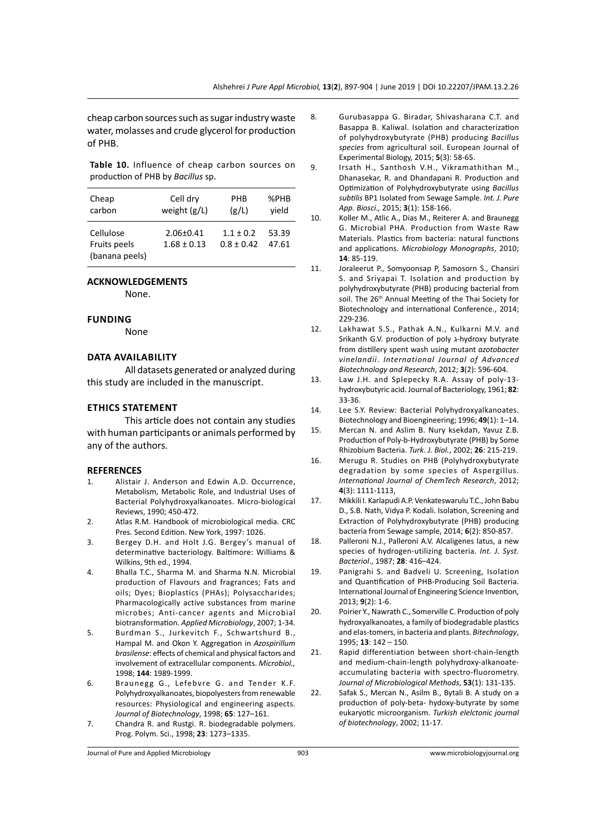cheap carbon sources such as sugar industry waste water, molasses and crude glycerol for production of PHB.

**Table 10.** Influence of cheap carbon sources on production of PHB by *Bacillus* sp.

| Cheap                                       | Cell dry                           | <b>PHR</b>                    | $%$ PHB        |
|---------------------------------------------|------------------------------------|-------------------------------|----------------|
| carbon                                      | weight (g/L)                       | (g/L)                         | vield          |
| Cellulose<br>Fruits peels<br>(banana peels) | $2.06 \pm 0.41$<br>$1.68 \pm 0.13$ | $1.1 + 0.2$<br>$0.8 \pm 0.42$ | 53.39<br>47.61 |

#### **ACKNOWLEDGEMENTS**

None.

#### **Funding**

None

#### **Data availability**

All datasets generated or analyzed during this study are included in the manuscript.

#### **Ethics Statement**

This article does not contain any studies with human participants or animals performed by any of the authors.

#### **REFERENCES**

- 1. Alistair J. Anderson and Edwin A.D. Occurrence, Metabolism, Metabolic Role, and Industrial Uses of Bacterial Polyhydroxyalkanoates. Micro-biological Reviews, 1990; 450-472.
- 2. Atlas R.M. Handbook of microbiological media. CRC Pres. Second Edition. New York, 1997: 1026.
- 3. Bergey D.H. and Holt J.G. Bergey's manual of determinative bacteriology. Baltimore: Williams & Wilkins, 9th ed., 1994.
- 4. Bhalla T.C., Sharma M. and Sharma N.N. Microbial production of Flavours and fragrances; Fats and oils; Dyes; Bioplastics (PHAs); Polysaccharides; Pharmacologically active substances from marine microbes; Anti-cancer agents and Microbial biotransformation. *Applied Microbiology*, 2007; 1-34.
- 5. Burdman S., Jurkevitch F., Schwartshurd B., Hampal M. and Okon Y. Aggregation in *Azospirillum brasilense*: effects of chemical and physical factors and involvement of extracellular components. *Microbiol.,*  1998; **144**: 1989-1999.
- 6. Braunegg G., Lefebvre G. and Tender K.F. Polyhydroxyalkanoates, biopolyesters from renewable resources: Physiological and engineering aspects. *Journal of Biotechnology*, 1998; **65**: 127–161.
- 7. Chandra R. and Rustgi. R. biodegradable polymers. Prog. Polym. Sci., 1998; **23**: 1273–1335.
- 8. Gurubasappa G. Biradar, Shivasharana C.T. and Basappa B. Kaliwal. Isolation and characterization of polyhydroxybutyrate (PHB) producing *Bacillus species* from agricultural soil. European Journal of Experimental Biology, 2015; **5**(3): 58-65.
- 9. Irsath H., Santhosh V.H., Vikramathithan M., Dhanasekar, R. and Dhandapani R. Production and Optimization of Polyhydroxybutyrate using *Bacillus subtilis* BP1 Isolated from Sewage Sample. *Int. J. Pure App. Biosci.,* 2015; **3**(1): 158-166.
- 10. Koller M., Atlic A., Dias M., Reiterer A. and Braunegg G. Microbial PHA. Production from Waste Raw Materials. Plastics from bacteria: natural functions and applications. *Microbiology Monographs*, 2010; **14**: 85-119.
- 11. Joraleerut P., Somyoonsap P, Samosorn S., Chansiri S. and Sriyapai T. Isolation and production by polyhydroxybutyrate (PHB) producing bacterial from soil. The 26<sup>th</sup> Annual Meeting of the Thai Society for Biotechnology and international Conference., 2014; 229-236.
- 12. Lakhawat S.S., Pathak A.N., Kulkarni M.V. and Srikanth G.V. production of poly x-hydroxy butyrate from distillery spent wash using mutant *azotobacter vinelandii*. *International Journal of Advanced Biotechnology and Research*, 2012; **3**(2): 596-604.
- 13. Law J.H. and Splepecky R.A. Assay of poly-13 hydroxybutyric acid. Journal of Bacteriology, 1961; **82**: 33-36.
- 14. Lee S.Y. Review: Bacterial Polyhydroxyalkanoates. Biotechnology and Bioengineering; 1996; **49**(1): 1–14.
- 15. Mercan N. and Aslim B. Nury ksekdan, Yavuz Z.B. Production of Poly-b-Hydroxybutyrate (PHB) by Some Rhizobium Bacteria. *Turk. J. Biol.*, 2002; **26**: 215-219.
- 16. Merugu R. Studies on PHB (Polyhydroxybutyrate degradation by some species of Aspergillus. *International Journal of ChemTech Research*, 2012; **4**(3): 1111-1113,
- 17. Mikkili I. Karlapudi A.P. Venkateswarulu T.C., John Babu D., S.B. Nath, Vidya P. Kodali. Isolation, Screening and Extraction of Polyhydroxybutyrate (PHB) producing bacteria from Sewage sample, 2014; **6**(2): 850-857.
- 18. Palleroni N.J., Palleroni A.V. Alcaligenes latus, a new species of hydrogen-utilizing bacteria. *Int. J. Syst. Bacteriol*., 1987; **28**: 416–424.
- 19. Panigrahi S. and Badveli U. Screening, Isolation and Quantification of PHB-Producing Soil Bacteria. International Journal of Engineering Science Invention, 2013; **9**(2): 1-6.
- 20. Poirier Y., Nawrath C., Somerville C. Production of poly hydroxyalkanoates, a family of biodegradable plastics and elas-tomers, in bacteria and plants. *Bitechnology*, 1995; **13**: 142 – 150.
- 21. Rapid differentiation between short-chain-length and medium-chain-length polyhydroxy-alkanoateaccumulating bacteria with spectro-fluorometry. *Journal of Microbiological Methods*, **53**(1): 131-135.
- 22. Safak S., Mercan N., Asilm B., Bytali B. A study on a production of poly-beta- hydoxy-butyrate by some eukaryotic microorganism. *Turkish elelctonic journal of biotechnology*, 2002; 11-17.

Journal of Pure and Applied Microbiology 903 www.microbiologyjournal.org